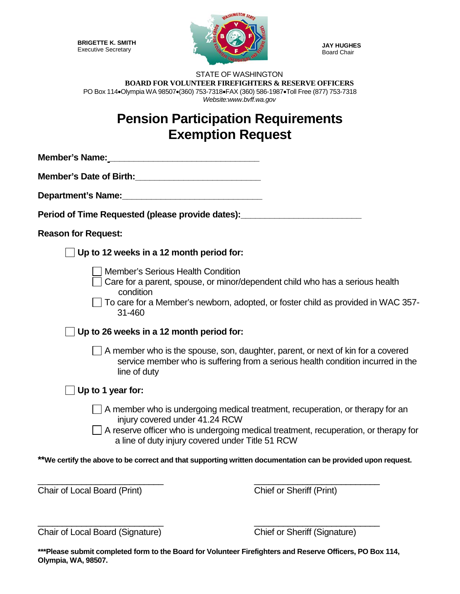**BRIGETTE K. SMITH** Executive Secretary



**JAY HUGHES** Board Chair

## STATE OF WASHINGTON **BOARD FOR VOLUNTEER FIREFIGHTERS & RESERVE OFFICERS** PO Box 114•Olympia WA 98507•(360) 753-7318•FAX (360) 586-1987•Toll Free (877) 753-7318 *Website:www.bvff.wa.gov*

## **Pension Participation Requirements Exemption Request**

| Member's Name: Manual Account of the Member's Name:                                                                                                                                                                                                               |  |
|-------------------------------------------------------------------------------------------------------------------------------------------------------------------------------------------------------------------------------------------------------------------|--|
| Member's Date of Birth: Manual Assembly Press, 2014                                                                                                                                                                                                               |  |
| Department's Name:<br><u>Department's Name:</u>                                                                                                                                                                                                                   |  |
| Period of Time Requested (please provide dates):                                                                                                                                                                                                                  |  |
| <b>Reason for Request:</b>                                                                                                                                                                                                                                        |  |
| Up to 12 weeks in a 12 month period for:                                                                                                                                                                                                                          |  |
| <b>Member's Serious Health Condition</b><br>Care for a parent, spouse, or minor/dependent child who has a serious health<br>condition<br>To care for a Member's newborn, adopted, or foster child as provided in WAC 357-<br>31-460                               |  |
| Up to 26 weeks in a 12 month period for:                                                                                                                                                                                                                          |  |
| A member who is the spouse, son, daughter, parent, or next of kin for a covered<br>service member who is suffering from a serious health condition incurred in the<br>line of duty                                                                                |  |
| Up to 1 year for:                                                                                                                                                                                                                                                 |  |
| $\Box$ A member who is undergoing medical treatment, recuperation, or therapy for an<br>injury covered under 41.24 RCW<br>A reserve officer who is undergoing medical treatment, recuperation, or therapy for<br>a line of duty injury covered under Title 51 RCW |  |
| **We certify the above to be correct and that supporting written documentation can be provided upon request.                                                                                                                                                      |  |
| Chair of Local Board (Print)<br><b>Chief or Sheriff (Print)</b>                                                                                                                                                                                                   |  |

Chair of Local Board (Signature) Chief or Sheriff (Signature)

**\*\*\*Please submit completed form to the Board for Volunteer Firefighters and Reserve Officers, PO Box 114, Olympia, WA, 98507.**